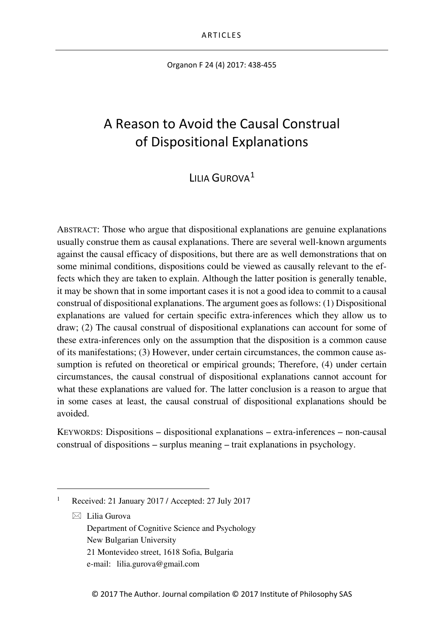Organon F 24 (4) 2017: 438-455

# A Reason to Avoid the Causal Construal of Dispositional Explanations

# $L$ IIIA GUROVA<sup>[1](#page-0-0)</sup>

ABSTRACT: Those who argue that dispositional explanations are genuine explanations usually construe them as causal explanations. There are several well-known arguments against the causal efficacy of dispositions, but there are as well demonstrations that on some minimal conditions, dispositions could be viewed as causally relevant to the effects which they are taken to explain. Although the latter position is generally tenable, it may be shown that in some important cases it is not a good idea to commit to a causal construal of dispositional explanations. The argument goes as follows: (1) Dispositional explanations are valued for certain specific extra-inferences which they allow us to draw; (2) The causal construal of dispositional explanations can account for some of these extra-inferences only on the assumption that the disposition is a common cause of its manifestations; (3) However, under certain circumstances, the common cause assumption is refuted on theoretical or empirical grounds; Therefore, (4) under certain circumstances, the causal construal of dispositional explanations cannot account for what these explanations are valued for. The latter conclusion is a reason to argue that in some cases at least, the causal construal of dispositional explanations should be avoided.

KEYWORDS: Dispositions – dispositional explanations – extra-inferences – non-causal construal of dispositions – surplus meaning – trait explanations in psychology.

 $\boxtimes$  Lilia Gurova Department of Cognitive Science and Psychology New Bulgarian University 21 Montevideo street, 1618 Sofia, Bulgaria e-mail: lilia.gurova@gmail.com

<span id="page-0-0"></span> <sup>1</sup> Received: 21 January 2017 / Accepted: 27 July 2017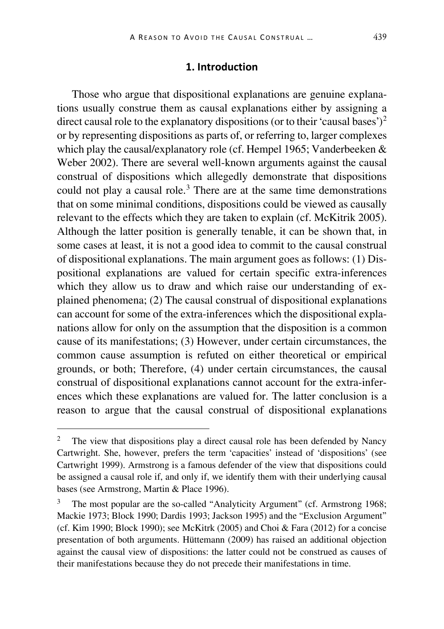## **1. Introduction**

Those who argue that dispositional explanations are genuine explanations usually construe them as causal explanations either by assigning a direct causal role to the explanatory dispositions (or to their 'causal bases')<sup>[2](#page-1-0)</sup> or by representing dispositions as parts of, or referring to, larger complexes which play the causal/explanatory role (cf. Hempel 1965; Vanderbeeken & Weber 2002). There are several well-known arguments against the causal construal of dispositions which allegedly demonstrate that dispositions could not play a causal role.<sup>[3](#page-1-1)</sup> There are at the same time demonstrations that on some minimal conditions, dispositions could be viewed as causally relevant to the effects which they are taken to explain (cf. McKitrik 2005). Although the latter position is generally tenable, it can be shown that, in some cases at least, it is not a good idea to commit to the causal construal of dispositional explanations. The main argument goes as follows: (1) Dispositional explanations are valued for certain specific extra-inferences which they allow us to draw and which raise our understanding of explained phenomena; (2) The causal construal of dispositional explanations can account for some of the extra-inferences which the dispositional explanations allow for only on the assumption that the disposition is a common cause of its manifestations; (3) However, under certain circumstances, the common cause assumption is refuted on either theoretical or empirical grounds, or both; Therefore, (4) under certain circumstances, the causal construal of dispositional explanations cannot account for the extra-inferences which these explanations are valued for. The latter conclusion is a reason to argue that the causal construal of dispositional explanations

<span id="page-1-0"></span><sup>&</sup>lt;sup>2</sup> The view that dispositions play a direct causal role has been defended by Nancy Cartwright. She, however, prefers the term 'capacities' instead of 'dispositions' (see Cartwright 1999). Armstrong is a famous defender of the view that dispositions could be assigned a causal role if, and only if, we identify them with their underlying causal bases (see Armstrong, Martin & Place 1996).

<span id="page-1-1"></span><sup>3</sup> The most popular are the so-called "Analyticity Argument" (cf. Armstrong 1968; Mackie 1973; Block 1990; Dardis 1993; Jackson 1995) and the "Exclusion Argument" (cf. Kim 1990; Block 1990); see McKitrk (2005) and Choi & Fara (2012) for a concise presentation of both arguments. Hüttemann (2009) has raised an additional objection against the causal view of dispositions: the latter could not be construed as causes of their manifestations because they do not precede their manifestations in time.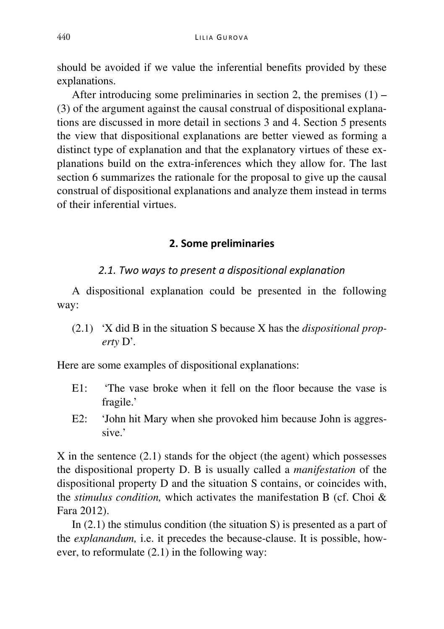should be avoided if we value the inferential benefits provided by these explanations.

After introducing some preliminaries in section 2, the premises  $(1)$  – (3) of the argument against the causal construal of dispositional explanations are discussed in more detail in sections 3 and 4. Section 5 presents the view that dispositional explanations are better viewed as forming a distinct type of explanation and that the explanatory virtues of these explanations build on the extra-inferences which they allow for. The last section 6 summarizes the rationale for the proposal to give up the causal construal of dispositional explanations and analyze them instead in terms of their inferential virtues.

### **2. Some preliminaries**

### *2.1. Two ways to present a dispositional explanation*

A dispositional explanation could be presented in the following way:

(2.1) 'X did B in the situation S because X has the *dispositional property* D'.

Here are some examples of dispositional explanations:

- E1: 'The vase broke when it fell on the floor because the vase is fragile.'
- E2: 'John hit Mary when she provoked him because John is aggressive.'

X in the sentence (2.1) stands for the object (the agent) which possesses the dispositional property D. B is usually called a *manifestation* of the dispositional property D and the situation S contains, or coincides with, the *stimulus condition,* which activates the manifestation B (cf. Choi & Fara 2012).

In (2.1) the stimulus condition (the situation S) is presented as a part of the *explanandum,* i.e. it precedes the because-clause. It is possible, however, to reformulate (2.1) in the following way: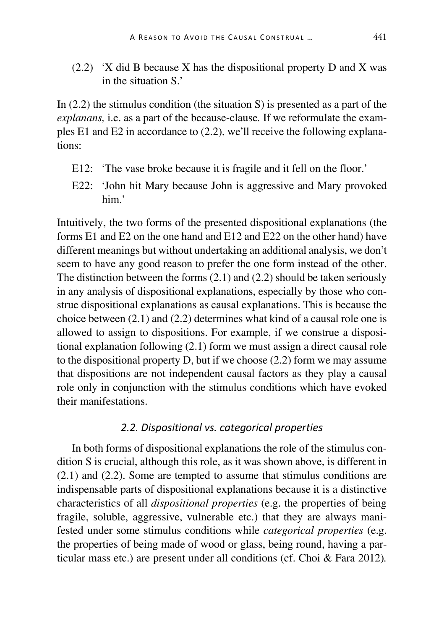(2.2) 'X did B because X has the dispositional property D and X was in the situation S<sup>'</sup>

In  $(2.2)$  the stimulus condition (the situation S) is presented as a part of the *explanans,* i.e. as a part of the because-clause*.* If we reformulate the examples E1 and E2 in accordance to (2.2), we'll receive the following explanations:

- E12: 'The vase broke because it is fragile and it fell on the floor.'
- E22: 'John hit Mary because John is aggressive and Mary provoked him.'

Intuitively, the two forms of the presented dispositional explanations (the forms E1 and E2 on the one hand and E12 and E22 on the other hand) have different meanings but without undertaking an additional analysis, we don't seem to have any good reason to prefer the one form instead of the other. The distinction between the forms (2.1) and (2.2) should be taken seriously in any analysis of dispositional explanations, especially by those who construe dispositional explanations as causal explanations. This is because the choice between (2.1) and (2.2) determines what kind of a causal role one is allowed to assign to dispositions. For example, if we construe a dispositional explanation following (2.1) form we must assign a direct causal role to the dispositional property D, but if we choose (2.2) form we may assume that dispositions are not independent causal factors as they play a causal role only in conjunction with the stimulus conditions which have evoked their manifestations.

### *2.2. Dispositional vs. categorical properties*

In both forms of dispositional explanations the role of the stimulus condition S is crucial, although this role, as it was shown above, is different in (2.1) and (2.2). Some are tempted to assume that stimulus conditions are indispensable parts of dispositional explanations because it is a distinctive characteristics of all *dispositional properties* (e.g. the properties of being fragile, soluble, aggressive, vulnerable etc.) that they are always manifested under some stimulus conditions while *categorical properties* (e.g. the properties of being made of wood or glass, being round, having a particular mass etc.) are present under all conditions (cf. Choi & Fara 2012)*.*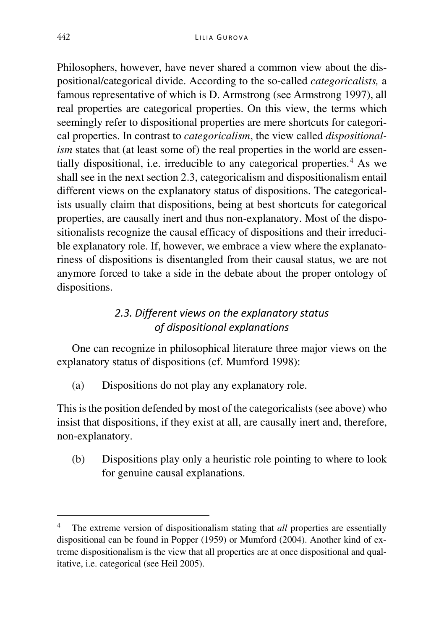Philosophers, however, have never shared a common view about the dispositional/categorical divide. According to the so-called *categoricalists,* a famous representative of which is D. Armstrong (see Armstrong 1997), all real properties are categorical properties. On this view, the terms which seemingly refer to dispositional properties are mere shortcuts for categorical properties. In contrast to *categoricalism*, the view called *dispositionalism* states that (at least some of) the real properties in the world are essentially dispositional, i.e. irreducible to any categorical properties. $4$  As we shall see in the next section 2.3, categoricalism and dispositionalism entail different views on the explanatory status of dispositions. The categoricalists usually claim that dispositions, being at best shortcuts for categorical properties, are causally inert and thus non-explanatory. Most of the dispositionalists recognize the causal efficacy of dispositions and their irreducible explanatory role. If, however, we embrace a view where the explanatoriness of dispositions is disentangled from their causal status, we are not anymore forced to take a side in the debate about the proper ontology of dispositions.

# *2.3. Different views on the explanatory status of dispositional explanations*

One can recognize in philosophical literature three major views on the explanatory status of dispositions (cf. Mumford 1998):

(a) Dispositions do not play any explanatory role.

This is the position defended by most of the categoricalists (see above) who insist that dispositions, if they exist at all, are causally inert and, therefore, non-explanatory.

(b) Dispositions play only a heuristic role pointing to where to look for genuine causal explanations.

<span id="page-4-0"></span> <sup>4</sup> The extreme version of dispositionalism stating that *all* properties are essentially dispositional can be found in Popper (1959) or Mumford (2004). Another kind of extreme dispositionalism is the view that all properties are at once dispositional and qualitative, i.e. categorical (see Heil 2005).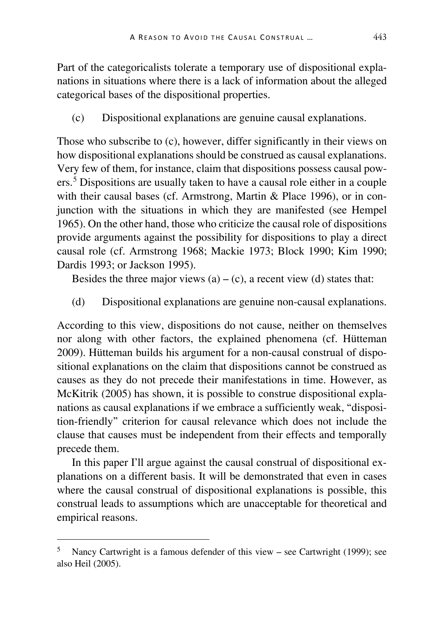Part of the categoricalists tolerate a temporary use of dispositional explanations in situations where there is a lack of information about the alleged categorical bases of the dispositional properties.

(c) Dispositional explanations are genuine causal explanations.

Those who subscribe to (c), however, differ significantly in their views on how dispositional explanations should be construed as causal explanations. Very few of them, for instance, claim that dispositions possess causal pow-ers.<sup>[5](#page-5-0)</sup> Dispositions are usually taken to have a causal role either in a couple with their causal bases (cf. Armstrong, Martin & Place 1996), or in conjunction with the situations in which they are manifested (see Hempel 1965). On the other hand, those who criticize the causal role of dispositions provide arguments against the possibility for dispositions to play a direct causal role (cf. Armstrong 1968; Mackie 1973; Block 1990; Kim 1990; Dardis 1993; or Jackson 1995).

Besides the three major views  $(a) - (c)$ , a recent view  $(d)$  states that:

(d) Dispositional explanations are genuine non-causal explanations.

According to this view, dispositions do not cause, neither on themselves nor along with other factors, the explained phenomena (cf. Hütteman 2009). Hütteman builds his argument for a non-causal construal of dispositional explanations on the claim that dispositions cannot be construed as causes as they do not precede their manifestations in time. However, as McKitrik (2005) has shown, it is possible to construe dispositional explanations as causal explanations if we embrace a sufficiently weak, "disposition-friendly" criterion for causal relevance which does not include the clause that causes must be independent from their effects and temporally precede them.

In this paper I'll argue against the causal construal of dispositional explanations on a different basis. It will be demonstrated that even in cases where the causal construal of dispositional explanations is possible, this construal leads to assumptions which are unacceptable for theoretical and empirical reasons.

<span id="page-5-0"></span> <sup>5</sup> Nancy Cartwright is a famous defender of this view – see Cartwright (1999); see also Heil (2005).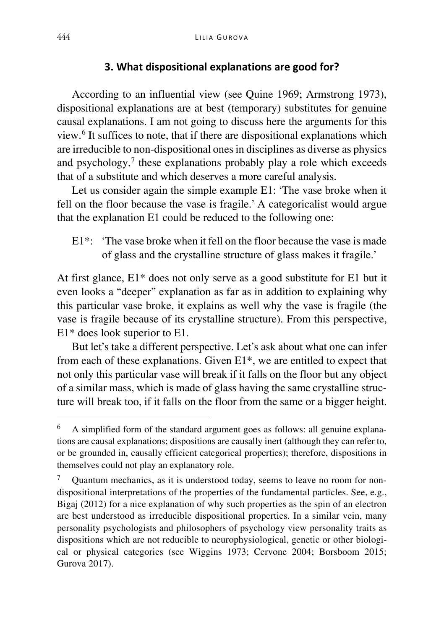### **3. What dispositional explanations are good for?**

According to an influential view (see Quine 1969; Armstrong 1973), dispositional explanations are at best (temporary) substitutes for genuine causal explanations. I am not going to discuss here the arguments for this view.[6](#page-6-0) It suffices to note, that if there are dispositional explanations which are irreducible to non-dispositional ones in disciplines as diverse as physics and psychology, $\frac{7}{7}$  $\frac{7}{7}$  $\frac{7}{7}$  these explanations probably play a role which exceeds that of a substitute and which deserves a more careful analysis.

Let us consider again the simple example E1: 'The vase broke when it fell on the floor because the vase is fragile.' A categoricalist would argue that the explanation E1 could be reduced to the following one:

E1\*: 'The vase broke when it fell on the floor because the vase is made of glass and the crystalline structure of glass makes it fragile.'

At first glance, E1\* does not only serve as a good substitute for E1 but it even looks a "deeper" explanation as far as in addition to explaining why this particular vase broke, it explains as well why the vase is fragile (the vase is fragile because of its crystalline structure). From this perspective, E1\* does look superior to E1.

But let's take a different perspective. Let's ask about what one can infer from each of these explanations. Given E1\*, we are entitled to expect that not only this particular vase will break if it falls on the floor but any object of a similar mass, which is made of glass having the same crystalline structure will break too, if it falls on the floor from the same or a bigger height.

<span id="page-6-0"></span> <sup>6</sup> A simplified form of the standard argument goes as follows: all genuine explanations are causal explanations; dispositions are causally inert (although they can refer to, or be grounded in, causally efficient categorical properties); therefore, dispositions in themselves could not play an explanatory role.

<span id="page-6-1"></span><sup>7</sup> Quantum mechanics, as it is understood today, seems to leave no room for nondispositional interpretations of the properties of the fundamental particles. See, e.g., Bigaj (2012) for a nice explanation of why such properties as the spin of an electron are best understood as irreducible dispositional properties. In a similar vein, many personality psychologists and philosophers of psychology view personality traits as dispositions which are not reducible to neurophysiological, genetic or other biological or physical categories (see Wiggins 1973; Cervone 2004; Borsboom 2015; Gurova 2017).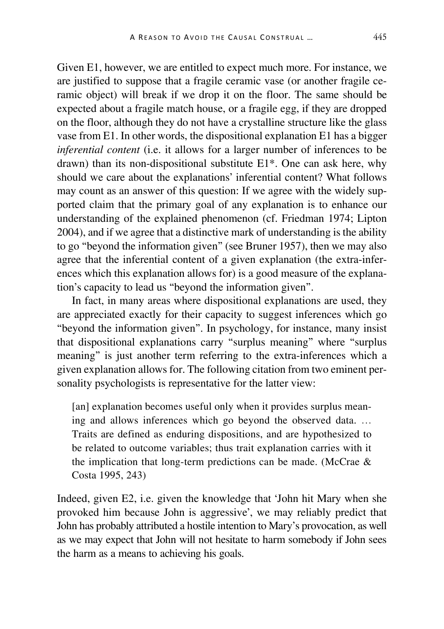Given E1, however, we are entitled to expect much more. For instance, we are justified to suppose that a fragile ceramic vase (or another fragile ceramic object) will break if we drop it on the floor. The same should be expected about a fragile match house, or a fragile egg, if they are dropped on the floor, although they do not have a crystalline structure like the glass vase from E1. In other words, the dispositional explanation E1 has a bigger *inferential content* (i.e. it allows for a larger number of inferences to be drawn) than its non-dispositional substitute E1\*. One can ask here, why should we care about the explanations' inferential content? What follows may count as an answer of this question: If we agree with the widely supported claim that the primary goal of any explanation is to enhance our understanding of the explained phenomenon (cf. Friedman 1974; Lipton 2004), and if we agree that a distinctive mark of understanding is the ability to go "beyond the information given" (see Bruner 1957), then we may also agree that the inferential content of a given explanation (the extra-inferences which this explanation allows for) is a good measure of the explanation's capacity to lead us "beyond the information given".

In fact, in many areas where dispositional explanations are used, they are appreciated exactly for their capacity to suggest inferences which go "beyond the information given". In psychology, for instance, many insist that dispositional explanations carry "surplus meaning" where "surplus meaning" is just another term referring to the extra-inferences which a given explanation allows for. The following citation from two eminent personality psychologists is representative for the latter view:

[an] explanation becomes useful only when it provides surplus meaning and allows inferences which go beyond the observed data. … Traits are defined as enduring dispositions, and are hypothesized to be related to outcome variables; thus trait explanation carries with it the implication that long-term predictions can be made. (McCrae & Costa 1995, 243)

Indeed, given E2, i.e. given the knowledge that 'John hit Mary when she provoked him because John is aggressive', we may reliably predict that John has probably attributed a hostile intention to Mary's provocation, as well as we may expect that John will not hesitate to harm somebody if John sees the harm as a means to achieving his goals.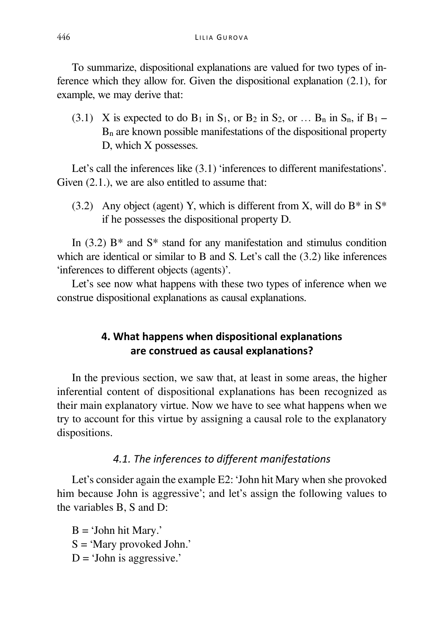To summarize, dispositional explanations are valued for two types of inference which they allow for. Given the dispositional explanation (2.1), for example, we may derive that:

 $(3.1)$  X is expected to do B<sub>1</sub> in S<sub>1</sub>, or B<sub>2</sub> in S<sub>2</sub>, or … B<sub>n</sub> in S<sub>n</sub>, if B<sub>1</sub> – Bn are known possible manifestations of the dispositional property D, which X possesses.

Let's call the inferences like  $(3.1)$  'inferences to different manifestations'. Given  $(2.1)$ , we are also entitled to assume that:

(3.2) Any object (agent) Y, which is different from X, will do  $B^*$  in  $S^*$ if he possesses the dispositional property D.

In  $(3.2)$  B<sup>\*</sup> and S<sup>\*</sup> stand for any manifestation and stimulus condition which are identical or similar to B and S. Let's call the (3.2) like inferences 'inferences to different objects (agents)'.

Let's see now what happens with these two types of inference when we construe dispositional explanations as causal explanations.

# **4. What happens when dispositional explanations are construed as causal explanations?**

In the previous section, we saw that, at least in some areas, the higher inferential content of dispositional explanations has been recognized as their main explanatory virtue. Now we have to see what happens when we try to account for this virtue by assigning a causal role to the explanatory dispositions.

# *4.1. The inferences to different manifestations*

Let's consider again the example E2: 'John hit Mary when she provoked him because John is aggressive'; and let's assign the following values to the variables B, S and D:

 $B = 'John hit Mary.'$ S = 'Mary provoked John.'  $D = 'John$  is aggressive.'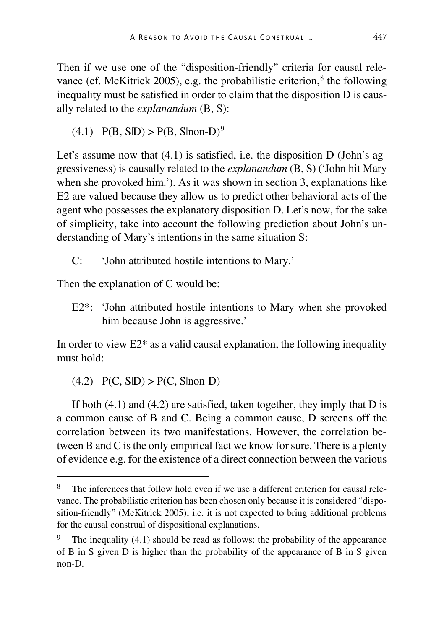Then if we use one of the "disposition-friendly" criteria for causal relevance (cf. McKitrick 2005), e.g. the probabilistic criterion, $\delta$  the following inequality must be satisfied in order to claim that the disposition D is causally related to the *explanandum* (B, S):

 $(4.1)$  P(B, S|D) > P(B, S|non-D)<sup>[9](#page-9-1)</sup>

Let's assume now that (4.1) is satisfied, i.e. the disposition D (John's aggressiveness) is causally related to the *explanandum* (B, S) ('John hit Mary when she provoked him.'). As it was shown in section 3, explanations like E2 are valued because they allow us to predict other behavioral acts of the agent who possesses the explanatory disposition D. Let's now, for the sake of simplicity, take into account the following prediction about John's understanding of Mary's intentions in the same situation S:

C: 'John attributed hostile intentions to Mary.'

Then the explanation of C would be:

E2\*: 'John attributed hostile intentions to Mary when she provoked him because John is aggressive.'

In order to view  $E2^*$  as a valid causal explanation, the following inequality must hold:

 $(4.2)$  P(C, SlD) > P(C, Slnon-D)

If both  $(4.1)$  and  $(4.2)$  are satisfied, taken together, they imply that D is a common cause of B and C. Being a common cause, D screens off the correlation between its two manifestations. However, the correlation between B and C is the only empirical fact we know for sure. There is a plenty of evidence e.g. for the existence of a direct connection between the various

<span id="page-9-0"></span>The inferences that follow hold even if we use a different criterion for causal relevance. The probabilistic criterion has been chosen only because it is considered "disposition-friendly" (McKitrick 2005), i.e. it is not expected to bring additional problems for the causal construal of dispositional explanations.

<span id="page-9-1"></span>The inequality  $(4.1)$  should be read as follows: the probability of the appearance of B in S given D is higher than the probability of the appearance of B in S given non-D.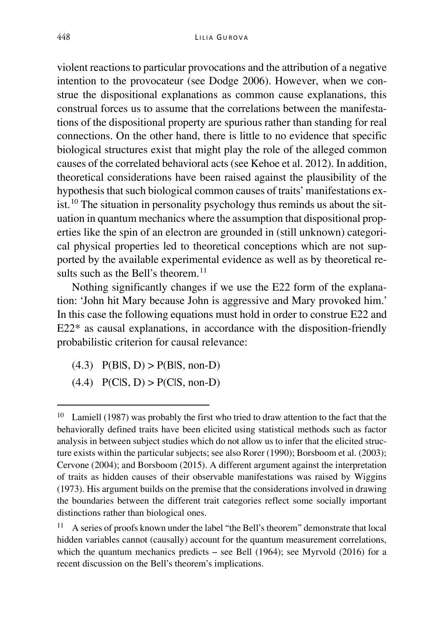violent reactions to particular provocations and the attribution of a negative intention to the provocateur (see Dodge 2006). However, when we construe the dispositional explanations as common cause explanations, this construal forces us to assume that the correlations between the manifestations of the dispositional property are spurious rather than standing for real connections. On the other hand, there is little to no evidence that specific biological structures exist that might play the role of the alleged common causes of the correlated behavioral acts (see Kehoe et al. 2012). In addition, theoretical considerations have been raised against the plausibility of the hypothesis that such biological common causes of traits' manifestations ex-ist.<sup>[10](#page-10-0)</sup> The situation in personality psychology thus reminds us about the situation in quantum mechanics where the assumption that dispositional properties like the spin of an electron are grounded in (still unknown) categorical physical properties led to theoretical conceptions which are not supported by the available experimental evidence as well as by theoretical results such as the Bell's theorem. $11$ 

Nothing significantly changes if we use the E22 form of the explanation: 'John hit Mary because John is aggressive and Mary provoked him.' In this case the following equations must hold in order to construe E22 and E22\* as causal explanations, in accordance with the disposition-friendly probabilistic criterion for causal relevance:

- $(4.3)$   $P(B|S, D) > P(B|S, non-D)$
- $(4.4)$   $P(C|S, D) > P(C|S, non-D)$

<span id="page-10-0"></span><sup>&</sup>lt;sup>10</sup> Lamiell (1987) was probably the first who tried to draw attention to the fact that the behaviorally defined traits have been elicited using statistical methods such as factor analysis in between subject studies which do not allow us to infer that the elicited structure exists within the particular subjects; see also Rorer (1990); Borsboom et al. (2003); Cervone (2004); and Borsboom (2015). A different argument against the interpretation of traits as hidden causes of their observable manifestations was raised by Wiggins (1973). His argument builds on the premise that the considerations involved in drawing the boundaries between the different trait categories reflect some socially important distinctions rather than biological ones.

<span id="page-10-1"></span> $11$  A series of proofs known under the label "the Bell's theorem" demonstrate that local hidden variables cannot (causally) account for the quantum measurement correlations, which the quantum mechanics predicts – see Bell (1964); see Myrvold (2016) for a recent discussion on the Bell's theorem's implications.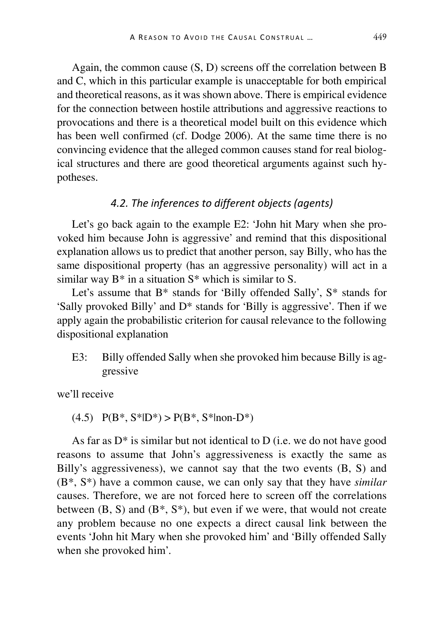Again, the common cause (S, D) screens off the correlation between B and C, which in this particular example is unacceptable for both empirical and theoretical reasons, as it was shown above. There is empirical evidence for the connection between hostile attributions and aggressive reactions to provocations and there is a theoretical model built on this evidence which has been well confirmed (cf. Dodge 2006). At the same time there is no convincing evidence that the alleged common causes stand for real biological structures and there are good theoretical arguments against such hypotheses.

### *4.2. The inferences to different objects (agents)*

Let's go back again to the example E2: 'John hit Mary when she provoked him because John is aggressive' and remind that this dispositional explanation allows us to predict that another person, say Billy, who has the same dispositional property (has an aggressive personality) will act in a similar way  $B^*$  in a situation  $S^*$  which is similar to S.

Let's assume that B\* stands for 'Billy offended Sally', S\* stands for 'Sally provoked Billy' and D\* stands for 'Billy is aggressive'. Then if we apply again the probabilistic criterion for causal relevance to the following dispositional explanation

E3: Billy offended Sally when she provoked him because Billy is aggressive

we'll receive

 $(4.5)$  P(B<sup>\*</sup>, S<sup>\*</sup>|D<sup>\*</sup>) > P(B<sup>\*</sup>, S<sup>\*</sup>|non-D<sup>\*</sup>)

As far as  $D^*$  is similar but not identical to  $D$  (i.e. we do not have good reasons to assume that John's aggressiveness is exactly the same as Billy's aggressiveness), we cannot say that the two events  $(B, S)$  and (B\*, S\*) have a common cause, we can only say that they have *similar*  causes. Therefore, we are not forced here to screen off the correlations between  $(B, S)$  and  $(B^*, S^*)$ , but even if we were, that would not create any problem because no one expects a direct causal link between the events 'John hit Mary when she provoked him' and 'Billy offended Sally when she provoked him'.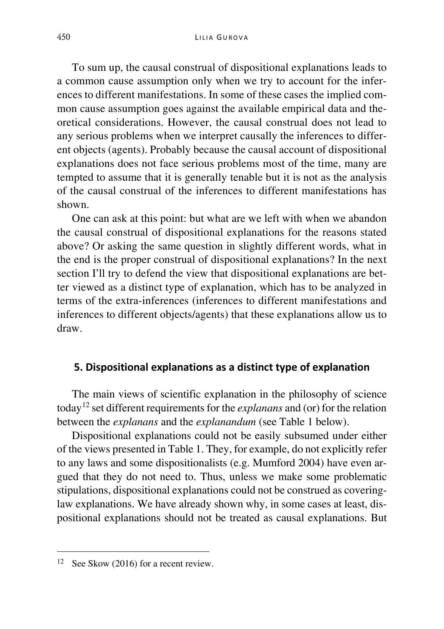To sum up, the causal construal of dispositional explanations leads to a common cause assumption only when we try to account for the inferences to different manifestations. In some of these cases the implied common cause assumption goes against the available empirical data and theoretical considerations. However, the causal construal does not lead to any serious problems when we interpret causally the inferences to different objects (agents). Probably because the causal account of dispositional explanations does not face serious problems most of the time, many are tempted to assume that it is generally tenable but it is not as the analysis of the causal construal of the inferences to different manifestations has shown.

One can ask at this point: but what are we left with when we abandon the causal construal of dispositional explanations for the reasons stated above? Or asking the same question in slightly different words, what in the end is the proper construal of dispositional explanations? In the next section I'll try to defend the view that dispositional explanations are better viewed as a distinct type of explanation, which has to be analyzed in terms of the extra-inferences (inferences to different manifestations and inferences to different objects/agents) that these explanations allow us to draw.

#### **5. Dispositional explanations as a distinct type of explanation**

The main views of scientific explanation in the philosophy of science today[12](#page-12-0) set different requirements for the *explanans* and (or) for the relation between the *explanans* and the *explanandum* (see Table 1 below).

Dispositional explanations could not be easily subsumed under either of the views presented in Table 1. They, for example, do not explicitly refer to any laws and some dispositionalists (e.g. Mumford 2004) have even argued that they do not need to. Thus, unless we make some problematic stipulations, dispositional explanations could not be construed as coveringlaw explanations. We have already shown why, in some cases at least, dispositional explanations should not be treated as causal explanations. But

<span id="page-12-0"></span><sup>&</sup>lt;sup>12</sup> See Skow (2016) for a recent review.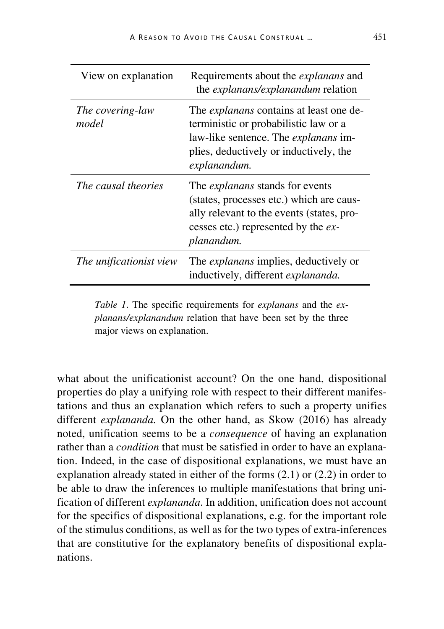| View on explanation       | Requirements about the <i>explanans</i> and<br>the <i>explanans/explanandum</i> relation                                                                                                  |
|---------------------------|-------------------------------------------------------------------------------------------------------------------------------------------------------------------------------------------|
| The covering-law<br>model | The <i>explanans</i> contains at least one de-<br>terministic or probabilistic law or a<br>law-like sentence. The explanans im-<br>plies, deductively or inductively, the<br>explanandum. |
| The causal theories       | The <i>explanans</i> stands for events<br>(states, processes etc.) which are caus-<br>ally relevant to the events (states, pro-<br>cesses etc.) represented by the ex-<br>planandum.      |
| The unificationist view   | The <i>explanans</i> implies, deductively or<br>inductively, different explananda.                                                                                                        |

*Table 1*. The specific requirements for *explanans* and the *explanans/explanandum* relation that have been set by the three major views on explanation.

what about the unificationist account? On the one hand, dispositional properties do play a unifying role with respect to their different manifestations and thus an explanation which refers to such a property unifies different *explananda.* On the other hand, as Skow (2016) has already noted, unification seems to be a *consequence* of having an explanation rather than a *condition* that must be satisfied in order to have an explanation. Indeed, in the case of dispositional explanations, we must have an explanation already stated in either of the forms (2.1) or (2.2) in order to be able to draw the inferences to multiple manifestations that bring unification of different *explananda*. In addition, unification does not account for the specifics of dispositional explanations, e.g. for the important role of the stimulus conditions, as well as for the two types of extra-inferences that are constitutive for the explanatory benefits of dispositional explanations.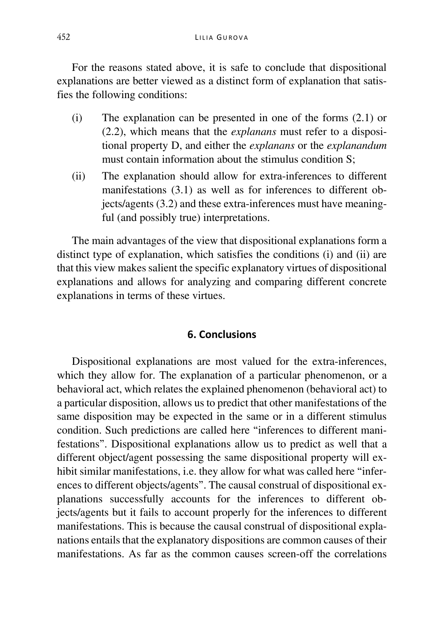For the reasons stated above, it is safe to conclude that dispositional explanations are better viewed as a distinct form of explanation that satisfies the following conditions:

- (i) The explanation can be presented in one of the forms (2.1) or (2.2), which means that the *explanans* must refer to a dispositional property D, and either the *explanans* or the *explanandum* must contain information about the stimulus condition S;
- (ii) The explanation should allow for extra-inferences to different manifestations (3.1) as well as for inferences to different objects/agents (3.2) and these extra-inferences must have meaningful (and possibly true) interpretations.

The main advantages of the view that dispositional explanations form a distinct type of explanation, which satisfies the conditions (i) and (ii) are that this view makes salient the specific explanatory virtues of dispositional explanations and allows for analyzing and comparing different concrete explanations in terms of these virtues.

## **6. Conclusions**

Dispositional explanations are most valued for the extra-inferences, which they allow for. The explanation of a particular phenomenon, or a behavioral act, which relates the explained phenomenon (behavioral act) to a particular disposition, allows us to predict that other manifestations of the same disposition may be expected in the same or in a different stimulus condition. Such predictions are called here "inferences to different manifestations". Dispositional explanations allow us to predict as well that a different object/agent possessing the same dispositional property will exhibit similar manifestations, i.e. they allow for what was called here "inferences to different objects/agents". The causal construal of dispositional explanations successfully accounts for the inferences to different objects/agents but it fails to account properly for the inferences to different manifestations. This is because the causal construal of dispositional explanations entails that the explanatory dispositions are common causes of their manifestations. As far as the common causes screen-off the correlations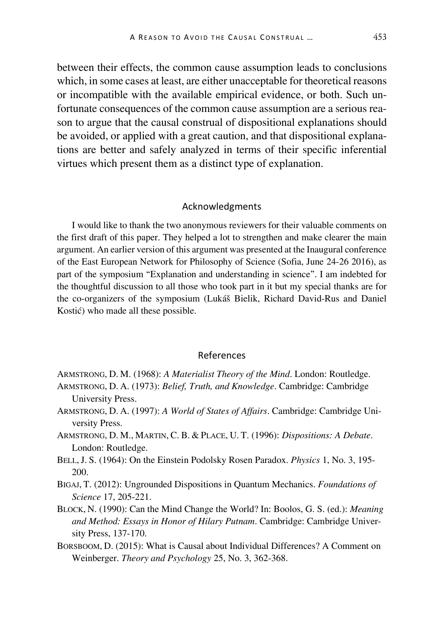between their effects, the common cause assumption leads to conclusions which, in some cases at least, are either unacceptable for theoretical reasons or incompatible with the available empirical evidence, or both. Such unfortunate consequences of the common cause assumption are a serious reason to argue that the causal construal of dispositional explanations should be avoided, or applied with a great caution, and that dispositional explanations are better and safely analyzed in terms of their specific inferential virtues which present them as a distinct type of explanation.

#### Acknowledgments

I would like to thank the two anonymous reviewers for their valuable comments on the first draft of this paper. They helped a lot to strengthen and make clearer the main argument. An earlier version of this argument was presented at the Inaugural conference of the East European Network for Philosophy of Science (Sofia, June 24-26 2016), as part of the symposium "Explanation and understanding in science". I am indebted for the thoughtful discussion to all those who took part in it but my special thanks are for the co-organizers of the symposium (Lukáš Bielik, Richard David-Rus and Daniel Kostić) who made all these possible.

#### References

- ARMSTRONG, D. M. (1968): *A Materialist Theory of the Mind*. London: Routledge.
- ARMSTRONG, D. A. (1973): *Belief, Truth, and Knowledge*. Cambridge: Cambridge University Press.
- ARMSTRONG, D. A. (1997): *A World of States of Affairs*. Cambridge: Cambridge University Press.
- ARMSTRONG, D. M., MARTIN, C. B. & PLACE, U. T. (1996): *Dispositions: A Debate*. London: Routledge.
- BELL,J. S. (1964): On the Einstein Podolsky Rosen Paradox. *Physics* 1, No. 3, 195- 200.
- BIGAJ, T. (2012): Ungrounded Dispositions in Quantum Mechanics. *Foundations of Science* 17, 205-221.
- BLOCK, N. (1990): Can the Mind Change the World? In: Boolos, G. S. (ed.): *Meaning and Method: Essays in Honor of Hilary Putnam*. Cambridge: Cambridge University Press, 137-170.
- BORSBOOM, D. (2015): What is Causal about Individual Differences? A Comment on Weinberger. *Theory and Psychology* 25, No. 3, 362-368.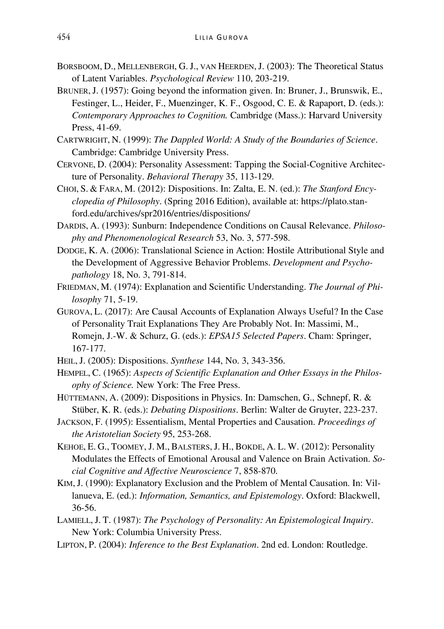- BORSBOOM, D., MELLENBERGH, G.J., VAN HEERDEN,J. (2003): The Theoretical Status of Latent Variables. *Psychological Review* 110, 203-219.
- BRUNER,J. (1957): Going beyond the information given. In: Bruner, J., Brunswik, E., Festinger, L., Heider, F., Muenzinger, K. F., Osgood, C. E. & Rapaport, D. (eds.): *Contemporary Approaches to Cognition.* Cambridge (Mass.): Harvard University Press, 41-69.
- CARTWRIGHT, N. (1999): *The Dappled World: A Study of the Boundaries of Science*. Cambridge: Cambridge University Press.
- CERVONE, D. (2004): Personality Assessment: Tapping the Social-Cognitive Architecture of Personality. *Behavioral Therapy* 35, 113-129.
- CHOI, S. & FARA, M. (2012): Dispositions. In: Zalta, E. N. (ed.): *The Stanford Encyclopedia of Philosophy*. (Spring 2016 Edition), available at: https://plato.stanford.edu/archives/spr2016/entries/dispositions/
- DARDIS, A. (1993): Sunburn: Independence Conditions on Causal Relevance. *Philosophy and Phenomenological Research* 53, No. 3, 577-598.
- DODGE, K. A. (2006): Translational Science in Action: Hostile Attributional Style and the Development of Aggressive Behavior Problems. *Development and Psychopathology* 18, No. 3, 791-814.
- FRIEDMAN, M. (1974): Explanation and Scientific Understanding. *The Journal of Philosophy* 71, 5-19.
- GUROVA, L. (2017): Are Causal Accounts of Explanation Always Useful? In the Case of Personality Trait Explanations They Are Probably Not. In: Massimi, M., Romejn, J.-W. & Schurz, G. (eds.): *EPSA15 Selected Papers*. Cham: Springer, 167-177.
- HEIL,J. (2005): Dispositions. *Synthese* 144, No. 3, 343-356.
- HEMPEL, C. (1965): *Aspects of Scientific Explanation and Other Essays in the Philosophy of Science.* New York: The Free Press.
- HÜTTEMANN, A. (2009): Dispositions in Physics. In: Damschen, G., Schnepf, R. & Stüber, K. R. (eds.): *Debating Dispositions*. Berlin: Walter de Gruyter, 223-237.
- JACKSON, F. (1995): Essentialism, Mental Properties and Causation. *Proceedings of the Aristotelian Society* 95, 253-268.
- KEHOE, E. G., TOOMEY, J. M., BALSTERS,J. H., BOKDE, A. L. W. (2012): Personality Modulates the Effects of Emotional Arousal and Valence on Brain Activation. *Social Cognitive and Affective Neuroscience* 7, 858-870.
- KIM,J. (1990): Explanatory Exclusion and the Problem of Mental Causation. In: Villanueva, E. (ed.): *Information, Semantics, and Epistemology*. Oxford: Blackwell, 36-56.
- LAMIELL, J. T. (1987): *The Psychology of Personality: An Epistemological Inquiry*. New York: Columbia University Press.
- LIPTON, P. (2004): *Inference to the Best Explanation*. 2nd ed. London: Routledge.